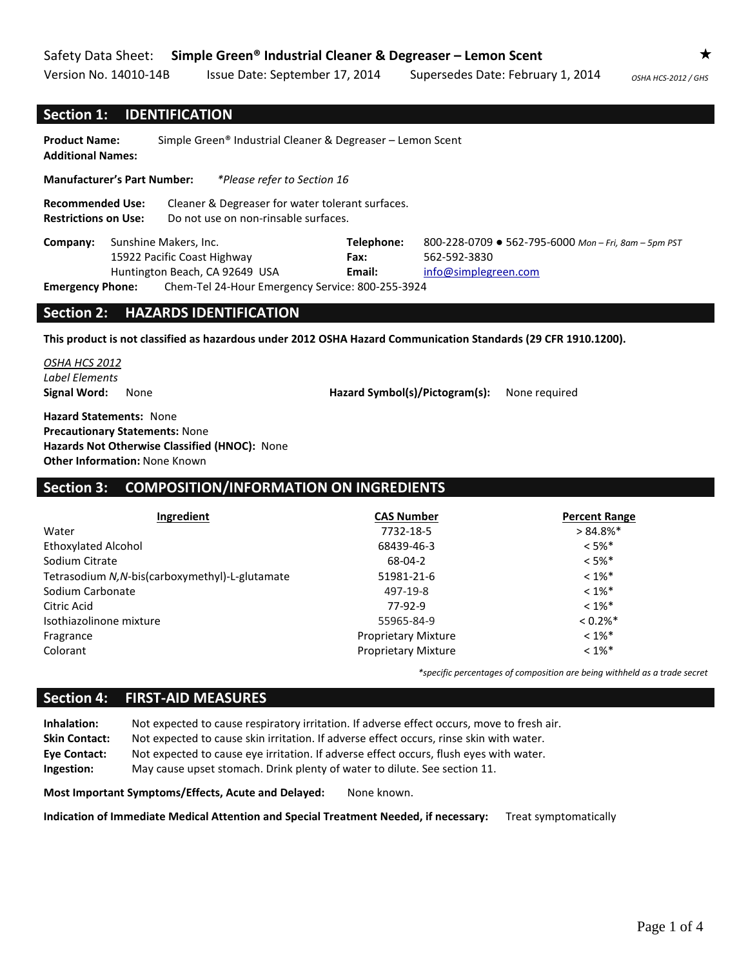Version No. 14010-14B Issue Date: September 17, 2014 Supersedes Date: February 1, 2014 *OSHA HCS-2012 / GHS* 

#### **Section 1: IDENTIFICATION**

**Product Name:** Simple Green® Industrial Cleaner & Degreaser – Lemon Scent **Additional Names:** 

**Manufacturer's Part Number:** *\*Please refer to Section 16*

**Recommended Use:** Cleaner & Degreaser for water tolerant surfaces. **Restrictions on Use:** Do not use on non-rinsable surfaces.

| Company:                                                                    | Sunshine Makers, Inc. |                             | Telephone:           | 800-228-0709 ● 562-795-6000 Mon-Fri, 8am-5pm PST |
|-----------------------------------------------------------------------------|-----------------------|-----------------------------|----------------------|--------------------------------------------------|
|                                                                             |                       | 15922 Pacific Coast Highway | Fax:                 | 562-592-3830                                     |
| Huntington Beach, CA 92649 USA                                              |                       | Email:                      | info@simplegreen.com |                                                  |
| Chem-Tel 24-Hour Emergency Service: 800-255-3924<br><b>Emergency Phone:</b> |                       |                             |                      |                                                  |

#### **Section 2: HAZARDS IDENTIFICATION**

**This product is not classified as hazardous under 2012 OSHA Hazard Communication Standards (29 CFR 1910.1200).**

*OSHA HCS 2012 Label Elements*

**Signal Word:** None **Hazard Symbol(s)/Pictogram(s):** None required

**Hazard Statements:** None **Precautionary Statements:** None **Hazards Not Otherwise Classified (HNOC):** None **Other Information:** None Known

## **Section 3: COMPOSITION/INFORMATION ON INGREDIENTS**

| Ingredient                                      | <b>CAS Number</b>          | <b>Percent Range</b>   |
|-------------------------------------------------|----------------------------|------------------------|
| Water                                           | 7732-18-5                  | $> 84.8\%$ *           |
| <b>Ethoxylated Alcohol</b>                      | 68439-46-3                 | $< 5\%$ *              |
| Sodium Citrate                                  | 68-04-2                    | $< 5\%$ *              |
| Tetrasodium N, N-bis(carboxymethyl)-L-glutamate | 51981-21-6                 | $< 1\%$ *              |
| Sodium Carbonate                                | 497-19-8                   | $< 1\%$ *              |
| Citric Acid                                     | 77-92-9                    | $< 1\%$ *              |
| Isothiazolinone mixture                         | 55965-84-9                 | $< 0.2\%$ <sup>*</sup> |
| Fragrance                                       | <b>Proprietary Mixture</b> | $< 1\%$ *              |
| Colorant                                        | <b>Proprietary Mixture</b> | $< 1\%$ *              |

*\*specific percentages of composition are being withheld as a trade secret*

#### **Section 4: FIRST-AID MEASURES**

**Inhalation:** Not expected to cause respiratory irritation. If adverse effect occurs, move to fresh air. **Skin Contact:** Not expected to cause skin irritation. If adverse effect occurs, rinse skin with water. **Eye Contact:** Not expected to cause eye irritation. If adverse effect occurs, flush eyes with water. **Ingestion:** May cause upset stomach. Drink plenty of water to dilute. See section 11.

**Most Important Symptoms/Effects, Acute and Delayed:** None known.

**Indication of Immediate Medical Attention and Special Treatment Needed, if necessary:** Treat symptomatically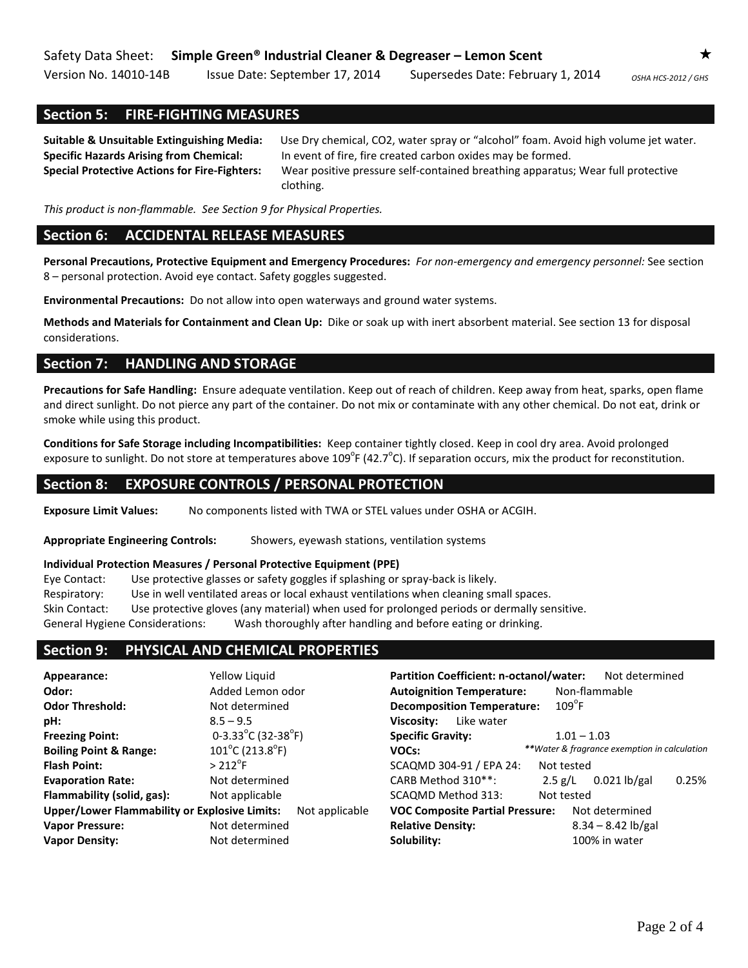Version No. 14010-14B Issue Date: September 17, 2014 Supersedes Date: February 1, 2014 <sub>OSHA HCS-2012/GHS</sub>

## **Section 5: FIRE-FIGHTING MEASURES**

**Suitable & Unsuitable Extinguishing Media:** Use Dry chemical, CO2, water spray or "alcohol" foam. Avoid high volume jet water. **Specific Hazards Arising from Chemical:** In event of fire, fire created carbon oxides may be formed. **Special Protective Actions for Fire-Fighters:** Wear positive pressure self-contained breathing apparatus; Wear full protective clothing.

*This product is non-flammable. See Section 9 for Physical Properties.*

## **Section 6: ACCIDENTAL RELEASE MEASURES**

**Personal Precautions, Protective Equipment and Emergency Procedures:** *For non-emergency and emergency personnel:* See section 8 – personal protection. Avoid eye contact. Safety goggles suggested.

**Environmental Precautions:** Do not allow into open waterways and ground water systems.

**Methods and Materials for Containment and Clean Up:** Dike or soak up with inert absorbent material. See section 13 for disposal considerations.

## **Section 7: HANDLING AND STORAGE**

**Precautions for Safe Handling:** Ensure adequate ventilation. Keep out of reach of children. Keep away from heat, sparks, open flame and direct sunlight. Do not pierce any part of the container. Do not mix or contaminate with any other chemical. Do not eat, drink or smoke while using this product.

**Conditions for Safe Storage including Incompatibilities:** Keep container tightly closed. Keep in cool dry area. Avoid prolonged exposure to sunlight. Do not store at temperatures above 109 $^{\circ}$ F (42.7 $^{\circ}$ C). If separation occurs, mix the product for reconstitution.

#### **Section 8: EXPOSURE CONTROLS / PERSONAL PROTECTION**

**Exposure Limit Values:** No components listed with TWA or STEL values under OSHA or ACGIH.

**Appropriate Engineering Controls:** Showers, eyewash stations, ventilation systems

#### **Individual Protection Measures / Personal Protective Equipment (PPE)**

Eye Contact: Use protective glasses or safety goggles if splashing or spray-back is likely. Respiratory: Use in well ventilated areas or local exhaust ventilations when cleaning small spaces. Skin Contact: Use protective gloves (any material) when used for prolonged periods or dermally sensitive. General Hygiene Considerations: Wash thoroughly after handling and before eating or drinking.

## **Section 9: PHYSICAL AND CHEMICAL PROPERTIES**

| Appearance:                                          | Yellow Liguid                        | <b>Partition Coefficient: n-octanol/water:</b> | Not determined                                    |  |  |  |
|------------------------------------------------------|--------------------------------------|------------------------------------------------|---------------------------------------------------|--|--|--|
| Odor:                                                | Added Lemon odor                     |                                                | <b>Autoignition Temperature:</b><br>Non-flammable |  |  |  |
| <b>Odor Threshold:</b>                               | Not determined                       | <b>Decomposition Temperature:</b>              | $109^{\circ}$ F                                   |  |  |  |
| pH:                                                  | $8.5 - 9.5$                          | Like water<br>Viscosity:                       |                                                   |  |  |  |
| <b>Freezing Point:</b>                               | 0-3.33°C (32-38°F)                   | <b>Specific Gravity:</b>                       | $1.01 - 1.03$                                     |  |  |  |
| <b>Boiling Point &amp; Range:</b>                    | $101^{\circ}$ C (213.8 $^{\circ}$ F) | VOCs:                                          | **Water & fragrance exemption in calculation      |  |  |  |
| <b>Flash Point:</b>                                  | $> 212^{\circ}$ F                    | SCAQMD 304-91 / EPA 24:                        | Not tested                                        |  |  |  |
| <b>Evaporation Rate:</b>                             | Not determined                       | CARB Method 310**:                             | 0.25%<br>$0.021$ lb/gal<br>2.5 g/L                |  |  |  |
| Flammability (solid, gas):                           | Not applicable                       | SCAQMD Method 313:                             | Not tested                                        |  |  |  |
| <b>Upper/Lower Flammability or Explosive Limits:</b> | Not applicable                       | <b>VOC Composite Partial Pressure:</b>         | Not determined                                    |  |  |  |
| <b>Vapor Pressure:</b>                               | Not determined                       | <b>Relative Density:</b>                       | $8.34 - 8.42$ lb/gal                              |  |  |  |
| <b>Vapor Density:</b>                                | Not determined                       | Solubility:                                    | 100% in water                                     |  |  |  |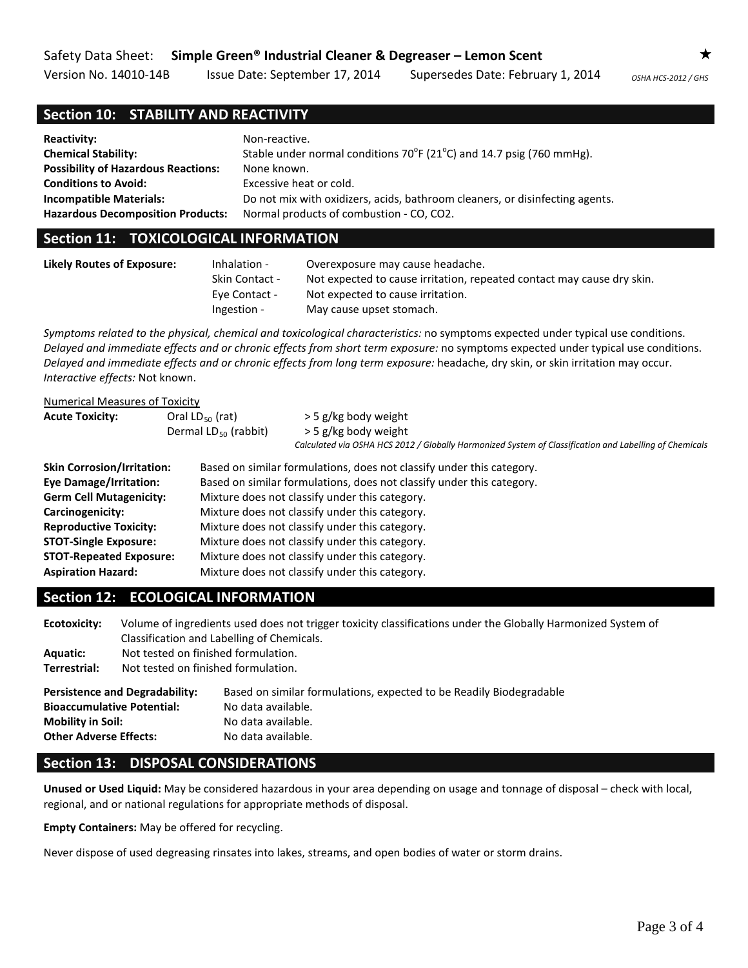Version No. 14010-14B Issue Date: September 17, 2014 Supersedes Date: February 1, 2014 OSHA HCS-2012/GHS

# **Section 10: STABILITY AND REACTIVITY**

| <b>Reactivity:</b>                         | Non-reactive.                                                                       |
|--------------------------------------------|-------------------------------------------------------------------------------------|
| <b>Chemical Stability:</b>                 | Stable under normal conditions $70^{\circ}F(21^{\circ}C)$ and 14.7 psig (760 mmHg). |
| <b>Possibility of Hazardous Reactions:</b> | None known.                                                                         |
| <b>Conditions to Avoid:</b>                | Excessive heat or cold.                                                             |
| <b>Incompatible Materials:</b>             | Do not mix with oxidizers, acids, bathroom cleaners, or disinfecting agents.        |
| <b>Hazardous Decomposition Products:</b>   | Normal products of combustion - CO, CO2.                                            |

## **Section 11: TOXICOLOGICAL INFORMATION**

| Likely Routes of Exposure: | Inhalation -<br><b>Skin Contact -</b> | Overexposure may cause headache.<br>Not expected to cause irritation, repeated contact may cause dry skin. |
|----------------------------|---------------------------------------|------------------------------------------------------------------------------------------------------------|
|                            | Eve Contact -                         | Not expected to cause irritation.                                                                          |
|                            | Ingestion -                           | May cause upset stomach.                                                                                   |

*Symptoms related to the physical, chemical and toxicological characteristics:* no symptoms expected under typical use conditions. *Delayed and immediate effects and or chronic effects from short term exposure:* no symptoms expected under typical use conditions. *Delayed and immediate effects and or chronic effects from long term exposure:* headache, dry skin, or skin irritation may occur. *Interactive effects:* Not known.

#### Numerical Measures of Toxicity

| <b>Acute Toxicity:</b>                                             | Oral $LD_{50}$ (rat)<br>Dermal $LD_{50}$ (rabbit) | > 5 g/kg body weight<br>> 5 g/kg body weight<br>Calculated via OSHA HCS 2012 / Globally Harmonized System of Classification and Labelling of Chemicals |  |  |
|--------------------------------------------------------------------|---------------------------------------------------|--------------------------------------------------------------------------------------------------------------------------------------------------------|--|--|
| <b>Skin Corrosion/Irritation:</b>                                  |                                                   | Based on similar formulations, does not classify under this category.                                                                                  |  |  |
| <b>Eye Damage/Irritation:</b>                                      |                                                   | Based on similar formulations, does not classify under this category.                                                                                  |  |  |
| <b>Germ Cell Mutagenicity:</b>                                     |                                                   | Mixture does not classify under this category.                                                                                                         |  |  |
| Mixture does not classify under this category.<br>Carcinogenicity: |                                                   |                                                                                                                                                        |  |  |
| <b>Reproductive Toxicity:</b>                                      |                                                   | Mixture does not classify under this category.                                                                                                         |  |  |
| <b>STOT-Single Exposure:</b>                                       |                                                   | Mixture does not classify under this category.                                                                                                         |  |  |
| <b>STOT-Repeated Exposure:</b>                                     |                                                   | Mixture does not classify under this category.                                                                                                         |  |  |
| <b>Aspiration Hazard:</b>                                          |                                                   | Mixture does not classify under this category.                                                                                                         |  |  |

# **Section 12: ECOLOGICAL INFORMATION**

| Ecotoxicity:                                                                                                                            | Volume of ingredients used does not trigger toxicity classifications under the Globally Harmonized System of<br>Classification and Labelling of Chemicals. |                                                                                                                                       |  |  |
|-----------------------------------------------------------------------------------------------------------------------------------------|------------------------------------------------------------------------------------------------------------------------------------------------------------|---------------------------------------------------------------------------------------------------------------------------------------|--|--|
| <b>Aquatic:</b>                                                                                                                         | Not tested on finished formulation.                                                                                                                        |                                                                                                                                       |  |  |
| Terrestrial:                                                                                                                            | Not tested on finished formulation.                                                                                                                        |                                                                                                                                       |  |  |
| <b>Persistence and Degradability:</b><br><b>Bioaccumulative Potential:</b><br><b>Mobility in Soil:</b><br><b>Other Adverse Effects:</b> |                                                                                                                                                            | Based on similar formulations, expected to be Readily Biodegradable<br>No data available.<br>No data available.<br>No data available. |  |  |

# **Section 13: DISPOSAL CONSIDERATIONS**

**Unused or Used Liquid:** May be considered hazardous in your area depending on usage and tonnage of disposal – check with local, regional, and or national regulations for appropriate methods of disposal.

**Empty Containers:** May be offered for recycling.

Never dispose of used degreasing rinsates into lakes, streams, and open bodies of water or storm drains.